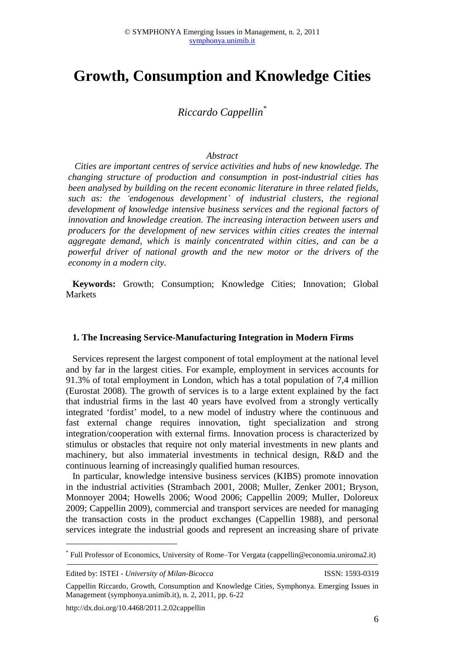# **Growth, Consumption and Knowledge Cities**

*Riccardo Cappellin\**

#### *Abstract*

*Cities are important centres of service activities and hubs of new knowledge. The changing structure of production and consumption in post-industrial cities has been analysed by building on the recent economic literature in three related fields, such as: the 'endogenous development' of industrial clusters, the regional development of knowledge intensive business services and the regional factors of innovation and knowledge creation. The increasing interaction between users and producers for the development of new services within cities creates the internal aggregate demand, which is mainly concentrated within cities, and can be a powerful driver of national growth and the new motor or the drivers of the economy in a modern city.*

**Keywords:** Growth; Consumption; Knowledge Cities; Innovation; Global Markets

#### **1. The Increasing Service-Manufacturing Integration in Modern Firms**

Services represent the largest component of total employment at the national level and by far in the largest cities. For example, employment in services accounts for 91.3% of total employment in London, which has a total population of 7,4 million (Eurostat 2008). The growth of services is to a large extent explained by the fact that industrial firms in the last 40 years have evolved from a strongly vertically integrated 'fordist' model, to a new model of industry where the continuous and fast external change requires innovation, tight specialization and strong integration/cooperation with external firms. Innovation process is characterized by stimulus or obstacles that require not only material investments in new plants and machinery, but also immaterial investments in technical design, R&D and the continuous learning of increasingly qualified human resources.

In particular, knowledge intensive business services (KIBS) promote innovation in the industrial activities (Strambach 2001, 2008; Muller, Zenker 2001; Bryson, Monnoyer 2004; Howells 2006; Wood 2006; Cappellin 2009; Muller, Doloreux 2009; Cappellin 2009), commercial and transport services are needed for managing the transaction costs in the product exchanges (Cappellin 1988), and personal services integrate the industrial goods and represent an increasing share of private

Edited by: ISTEI - *University of Milan-Bicocca* ISSN: 1593-0319

<u>.</u>

http://dx.doi.org/10.4468/2011.2.02cappellin

<sup>\*</sup> Full Professor of Economics, University of Rome–Tor Vergata (cappellin@economia.uniroma2.it)

Cappellin Riccardo, Growth, Consumption and Knowledge Cities, Symphonya. Emerging Issues in Management (symphonya.unimib.it), n. 2, 2011, pp. 6-22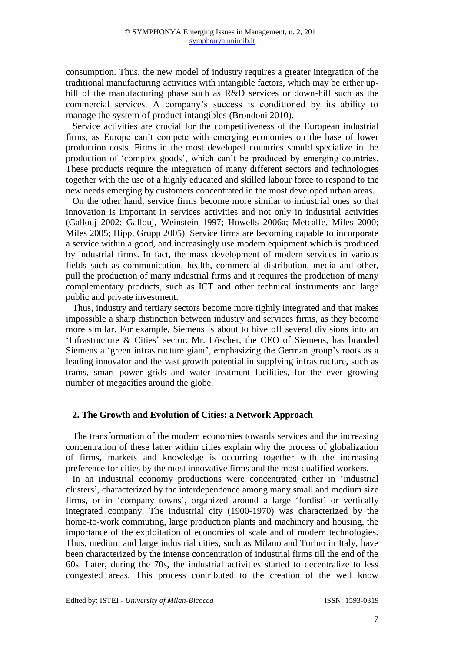consumption. Thus, the new model of industry requires a greater integration of the traditional manufacturing activities with intangible factors, which may be either uphill of the manufacturing phase such as R&D services or down-hill such as the commercial services. A company's success is conditioned by its ability to manage the system of product intangibles (Brondoni 2010).

Service activities are crucial for the competitiveness of the European industrial firms, as Europe can't compete with emerging economies on the base of lower production costs. Firms in the most developed countries should specialize in the production of 'complex goods', which can't be produced by emerging countries. These products require the integration of many different sectors and technologies together with the use of a highly educated and skilled labour force to respond to the new needs emerging by customers concentrated in the most developed urban areas.

On the other hand, service firms become more similar to industrial ones so that innovation is important in services activities and not only in industrial activities (Gallouj 2002; Gallouj, Weinstein 1997; Howells 2006a; Metcalfe, Miles 2000; Miles 2005; Hipp, Grupp 2005). Service firms are becoming capable to incorporate a service within a good, and increasingly use modern equipment which is produced by industrial firms. In fact, the mass development of modern services in various fields such as communication, health, commercial distribution, media and other, pull the production of many industrial firms and it requires the production of many complementary products, such as ICT and other technical instruments and large public and private investment.

Thus, industry and tertiary sectors become more tightly integrated and that makes impossible a sharp distinction between industry and services firms, as they become more similar. For example, Siemens is about to hive off several divisions into an ['Infrastructure & Cities'](http://www.ft.com/cms/s/0/26a63d2a-5a30-11e0-86d3-00144feab49a.html#axzz1HuF5se5A) sector. Mr. Löscher, the CEO of Siemens, has branded Siemens a 'green infrastructure giant', emphasizing the German group's roots as a leading innovator and the vast growth potential in supplying infrastructure, such as trams, smart power grids and water treatment facilities, for the ever growing number of megacities around the globe.

# **2. The Growth and Evolution of Cities: a Network Approach**

The transformation of the modern economies towards services and the increasing concentration of these latter within cities explain why the process of globalization of firms, markets and knowledge is occurring together with the increasing preference for cities by the most innovative firms and the most qualified workers.

In an industrial economy productions were concentrated either in 'industrial clusters', characterized by the interdependence among many small and medium size firms, or in 'company towns', organized around a large 'fordist' or vertically integrated company. The industrial city (1900-1970) was characterized by the home-to-work commuting, large production plants and machinery and housing, the importance of the exploitation of economies of scale and of modern technologies. Thus, medium and large industrial cities, such as Milano and Torino in Italy, have been characterized by the intense concentration of industrial firms till the end of the 60s. Later, during the 70s, the industrial activities started to decentralize to less congested areas. This process contributed to the creation of the well know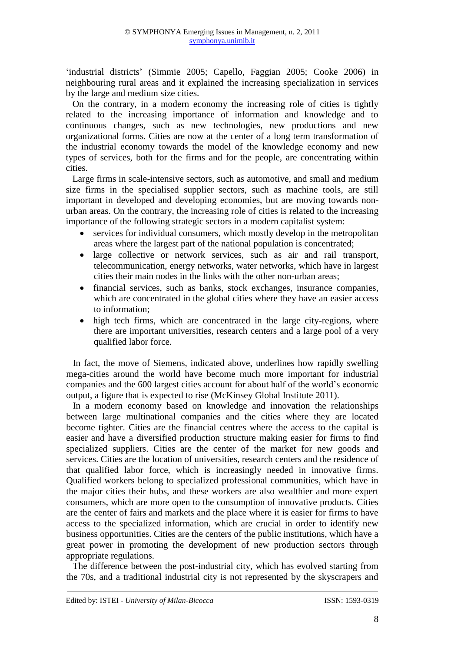'industrial districts' (Simmie 2005; Capello, Faggian 2005; Cooke 2006) in neighbouring rural areas and it explained the increasing specialization in services by the large and medium size cities.

On the contrary, in a modern economy the increasing role of cities is tightly related to the increasing importance of information and knowledge and to continuous changes, such as new technologies, new productions and new organizational forms. Cities are now at the center of a long term transformation of the industrial economy towards the model of the knowledge economy and new types of services, both for the firms and for the people, are concentrating within cities.

Large firms in scale-intensive sectors, such as automotive, and small and medium size firms in the specialised supplier sectors, such as machine tools, are still important in developed and developing economies, but are moving towards nonurban areas. On the contrary, the increasing role of cities is related to the increasing importance of the following strategic sectors in a modern capitalist system:

- services for individual consumers, which mostly develop in the metropolitan areas where the largest part of the national population is concentrated;
- large collective or network services, such as air and rail transport, telecommunication, energy networks, water networks, which have in largest cities their main nodes in the links with the other non-urban areas;
- financial services, such as banks, stock exchanges, insurance companies, which are concentrated in the global cities where they have an easier access to information;
- high tech firms, which are concentrated in the large city-regions, where there are important universities, research centers and a large pool of a very qualified labor force.

In fact, the move of Siemens, indicated above, underlines how rapidly swelling mega-cities around the world have become much more important for industrial companies and the 600 largest cities account for about half of the world's economic output, a figure that is expected to rise (McKinsey Global Institute 2011).

In a modern economy based on knowledge and innovation the relationships between large multinational companies and the cities where they are located become tighter. Cities are the financial centres where the access to the capital is easier and have a diversified production structure making easier for firms to find specialized suppliers. Cities are the center of the market for new goods and services. Cities are the location of universities, research centers and the residence of that qualified labor force, which is increasingly needed in innovative firms. Qualified workers belong to specialized professional communities, which have in the major cities their hubs, and these workers are also wealthier and more expert consumers, which are more open to the consumption of innovative products. Cities are the center of fairs and markets and the place where it is easier for firms to have access to the specialized information, which are crucial in order to identify new business opportunities. Cities are the centers of the public institutions, which have a great power in promoting the development of new production sectors through appropriate regulations.

The difference between the post-industrial city, which has evolved starting from the 70s, and a traditional industrial city is not represented by the skyscrapers and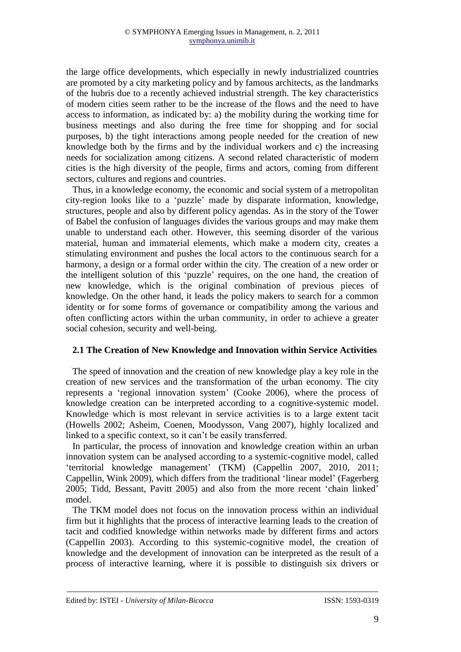the large office developments, which especially in newly industrialized countries are promoted by a city marketing policy and by famous architects, as the landmarks of the hubris due to a recently achieved industrial strength. The key characteristics of modern cities seem rather to be the increase of the flows and the need to have access to information, as indicated by: a) the mobility during the working time for business meetings and also during the free time for shopping and for social purposes, b) the tight interactions among people needed for the creation of new knowledge both by the firms and by the individual workers and c) the increasing needs for socialization among citizens. A second related characteristic of modern cities is the high diversity of the people, firms and actors, coming from different sectors, cultures and regions and countries.

Thus, in a knowledge economy, the economic and social system of a metropolitan city-region looks like to a 'puzzle' made by disparate information, knowledge, structures, people and also by different policy agendas. As in the story of the Tower of Babel the confusion of languages divides the various groups and may make them unable to understand each other. However, this seeming disorder of the various material, human and immaterial elements, which make a modern city, creates a stimulating environment and pushes the local actors to the continuous search for a harmony, a design or a formal order within the city. The creation of a new order or the intelligent solution of this 'puzzle' requires, on the one hand, the creation of new knowledge, which is the original combination of previous pieces of knowledge. On the other hand, it leads the policy makers to search for a common identity or for some forms of governance or compatibility among the various and often conflicting actors within the urban community, in order to achieve a greater social cohesion, security and well-being.

# **2.1 The Creation of New Knowledge and Innovation within Service Activities**

The speed of innovation and the creation of new knowledge play a key role in the creation of new services and the transformation of the urban economy. The city represents a 'regional innovation system' (Cooke 2006), where the process of knowledge creation can be interpreted according to a cognitive-systemic model. Knowledge which is most relevant in service activities is to a large extent tacit (Howells 2002; Asheim, Coenen, Moodysson, Vang 2007), highly localized and linked to a specific context, so it can't be easily transferred.

In particular, the process of innovation and knowledge creation within an urban innovation system can be analysed according to a systemic-cognitive model, called 'territorial knowledge management' (TKM) (Cappellin 2007, 2010, 2011; Cappellin, Wink 2009), which differs from the traditional 'linear model' (Fagerberg 2005; Tidd, Bessant, Pavitt 2005) and also from the more recent 'chain linked' model.

The TKM model does not focus on the innovation process within an individual firm but it highlights that the process of interactive learning leads to the creation of tacit and codified knowledge within networks made by different firms and actors (Cappellin 2003). According to this systemic-cognitive model, the creation of knowledge and the development of innovation can be interpreted as the result of a process of interactive learning, where it is possible to distinguish six drivers or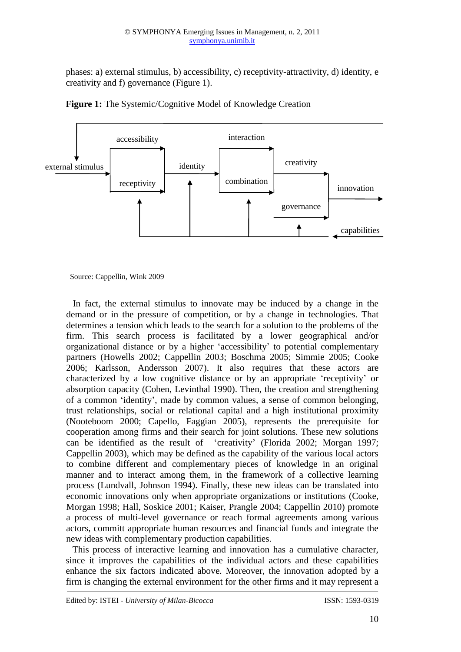phases: a) external stimulus, b) accessibility, c) receptivity-attractivity, d) identity, e creativity and f) governance (Figure 1).





Source: Cappellin, Wink 2009

In fact, the external stimulus to innovate may be induced by a change in the demand or in the pressure of competition, or by a change in technologies. That determines a tension which leads to the search for a solution to the problems of the firm. This search process is facilitated by a lower geographical and/or organizational distance or by a higher 'accessibility' to potential complementary partners (Howells 2002; Cappellin 2003; Boschma 2005; Simmie 2005; Cooke 2006; Karlsson, Andersson 2007). It also requires that these actors are characterized by a low cognitive distance or by an appropriate 'receptivity' or absorption capacity (Cohen, Levinthal 1990). Then, the creation and strengthening of a common 'identity', made by common values, a sense of common belonging, trust relationships, social or relational capital and a high institutional proximity (Nooteboom 2000; Capello, Faggian 2005), represents the prerequisite for cooperation among firms and their search for joint solutions. These new solutions can be identified as the result of 'creativity' (Florida 2002; Morgan 1997; Cappellin 2003), which may be defined as the capability of the various local actors to combine different and complementary pieces of knowledge in an original manner and to interact among them, in the framework of a collective learning process (Lundvall, Johnson 1994). Finally, these new ideas can be translated into economic innovations only when appropriate organizations or institutions (Cooke, Morgan 1998; Hall, Soskice 2001; Kaiser, Prangle 2004; Cappellin 2010) promote a process of multi-level governance or reach formal agreements among various actors, committ appropriate human resources and financial funds and integrate the new ideas with complementary production capabilities.

This process of interactive learning and innovation has a cumulative character, since it improves the capabilities of the individual actors and these capabilities enhance the six factors indicated above. Moreover, the innovation adopted by a firm is changing the external environment for the other firms and it may represent a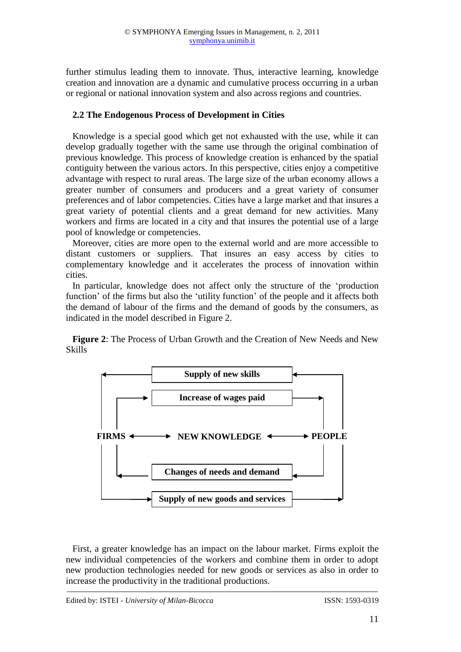further stimulus leading them to innovate. Thus, interactive learning, knowledge creation and innovation are a dynamic and cumulative process occurring in a urban or regional or national innovation system and also across regions and countries.

## **2.2 The Endogenous Process of Development in Cities**

Knowledge is a special good which get not exhausted with the use, while it can develop gradually together with the same use through the original combination of previous knowledge. This process of knowledge creation is enhanced by the spatial contiguity between the various actors. In this perspective, cities enjoy a competitive advantage with respect to rural areas. The large size of the urban economy allows a greater number of consumers and producers and a great variety of consumer preferences and of labor competencies. Cities have a large market and that insures a great variety of potential clients and a great demand for new activities. Many workers and firms are located in a city and that insures the potential use of a large pool of knowledge or competencies.

Moreover, cities are more open to the external world and are more accessible to distant customers or suppliers. That insures an easy access by cities to complementary knowledge and it accelerates the process of innovation within cities.

In particular, knowledge does not affect only the structure of the 'production function' of the firms but also the 'utility function' of the people and it affects both the demand of labour of the firms and the demand of goods by the consumers, as indicated in the model described in Figure 2.

**Figure 2**: The Process of Urban Growth and the Creation of New Needs and New Skills



First, a greater knowledge has an impact on the labour market. Firms exploit the new individual competencies of the workers and combine them in order to adopt new production technologies needed for new goods or services as also in order to increase the productivity in the traditional productions.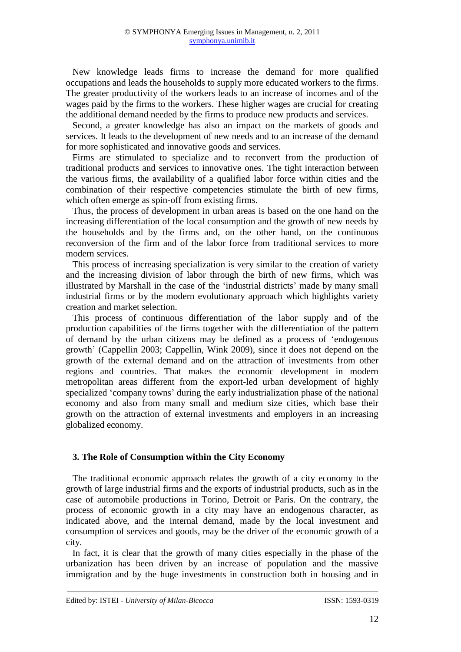New knowledge leads firms to increase the demand for more qualified occupations and leads the households to supply more educated workers to the firms. The greater productivity of the workers leads to an increase of incomes and of the wages paid by the firms to the workers. These higher wages are crucial for creating the additional demand needed by the firms to produce new products and services.

Second, a greater knowledge has also an impact on the markets of goods and services. It leads to the development of new needs and to an increase of the demand for more sophisticated and innovative goods and services.

Firms are stimulated to specialize and to reconvert from the production of traditional products and services to innovative ones. The tight interaction between the various firms, the availability of a qualified labor force within cities and the combination of their respective competencies stimulate the birth of new firms, which often emerge as spin-off from existing firms.

Thus, the process of development in urban areas is based on the one hand on the increasing differentiation of the local consumption and the growth of new needs by the households and by the firms and, on the other hand, on the continuous reconversion of the firm and of the labor force from traditional services to more modern services.

This process of increasing specialization is very similar to the creation of variety and the increasing division of labor through the birth of new firms, which was illustrated by Marshall in the case of the 'industrial districts' made by many small industrial firms or by the modern evolutionary approach which highlights variety creation and market selection.

This process of continuous differentiation of the labor supply and of the production capabilities of the firms together with the differentiation of the pattern of demand by the urban citizens may be defined as a process of 'endogenous growth' (Cappellin 2003; Cappellin, Wink 2009), since it does not depend on the growth of the external demand and on the attraction of investments from other regions and countries. That makes the economic development in modern metropolitan areas different from the export-led urban development of highly specialized 'company towns' during the early industrialization phase of the national economy and also from many small and medium size cities, which base their growth on the attraction of external investments and employers in an increasing globalized economy.

## **3. The Role of Consumption within the City Economy**

The traditional economic approach relates the growth of a city economy to the growth of large industrial firms and the exports of industrial products, such as in the case of automobile productions in Torino, Detroit or Paris. On the contrary, the process of economic growth in a city may have an endogenous character, as indicated above, and the internal demand, made by the local investment and consumption of services and goods, may be the driver of the economic growth of a city.

In fact, it is clear that the growth of many cities especially in the phase of the urbanization has been driven by an increase of population and the massive immigration and by the huge investments in construction both in housing and in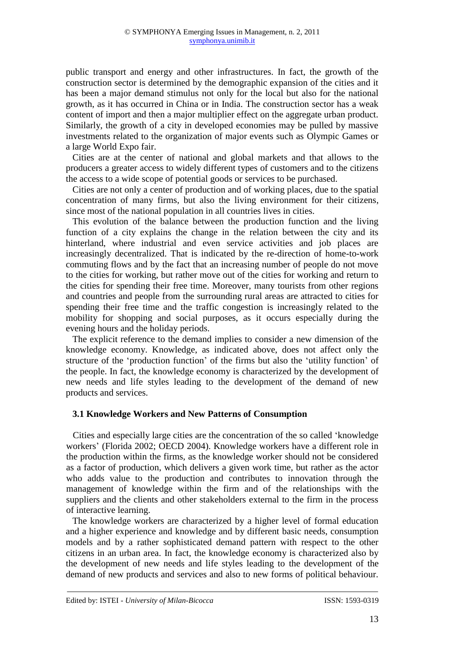public transport and energy and other infrastructures. In fact, the growth of the construction sector is determined by the demographic expansion of the cities and it has been a major demand stimulus not only for the local but also for the national growth, as it has occurred in China or in India. The construction sector has a weak content of import and then a major multiplier effect on the aggregate urban product. Similarly, the growth of a city in developed economies may be pulled by massive investments related to the organization of major events such as Olympic Games or a large World Expo fair.

Cities are at the center of national and global markets and that allows to the producers a greater access to widely different types of customers and to the citizens the access to a wide scope of potential goods or services to be purchased.

Cities are not only a center of production and of working places, due to the spatial concentration of many firms, but also the living environment for their citizens, since most of the national population in all countries lives in cities.

This evolution of the balance between the production function and the living function of a city explains the change in the relation between the city and its hinterland, where industrial and even service activities and job places are increasingly decentralized. That is indicated by the re-direction of home-to-work commuting flows and by the fact that an increasing number of people do not move to the cities for working, but rather move out of the cities for working and return to the cities for spending their free time. Moreover, many tourists from other regions and countries and people from the surrounding rural areas are attracted to cities for spending their free time and the traffic congestion is increasingly related to the mobility for shopping and social purposes, as it occurs especially during the evening hours and the holiday periods.

The explicit reference to the demand implies to consider a new dimension of the knowledge economy. Knowledge, as indicated above, does not affect only the structure of the 'production function' of the firms but also the 'utility function' of the people. In fact, the knowledge economy is characterized by the development of new needs and life styles leading to the development of the demand of new products and services.

## **3.1 Knowledge Workers and New Patterns of Consumption**

Cities and especially large cities are the concentration of the so called 'knowledge workers' (Florida 2002; OECD 2004). Knowledge workers have a different role in the production within the firms, as the knowledge worker should not be considered as a factor of production, which delivers a given work time, but rather as the actor who adds value to the production and contributes to innovation through the management of knowledge within the firm and of the relationships with the suppliers and the clients and other stakeholders external to the firm in the process of interactive learning.

The knowledge workers are characterized by a higher level of formal education and a higher experience and knowledge and by different basic needs, consumption models and by a rather sophisticated demand pattern with respect to the other citizens in an urban area. In fact, the knowledge economy is characterized also by the development of new needs and life styles leading to the development of the demand of new products and services and also to new forms of political behaviour.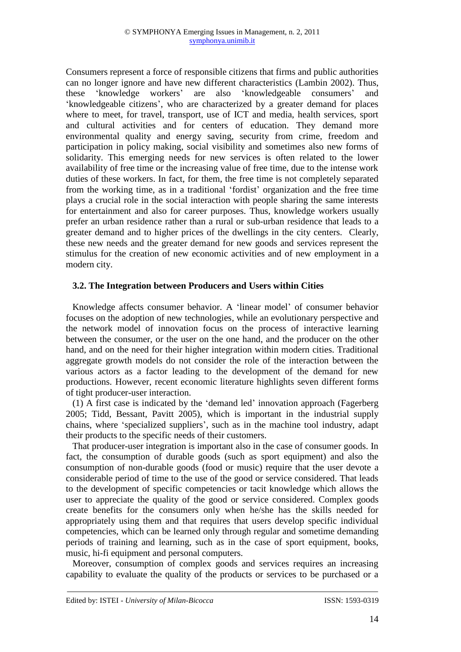Consumers represent a force of responsible citizens that firms and public authorities can no longer ignore and have new different characteristics (Lambin 2002). Thus, these 'knowledge workers' are also 'knowledgeable consumers' and 'knowledgeable citizens', who are characterized by a greater demand for places where to meet, for travel, transport, use of ICT and media, health services, sport and cultural activities and for centers of education. They demand more environmental quality and energy saving, security from crime, freedom and participation in policy making, social visibility and sometimes also new forms of solidarity. This emerging needs for new services is often related to the lower availability of free time or the increasing value of free time, due to the intense work duties of these workers. In fact, for them, the free time is not completely separated from the working time, as in a traditional 'fordist' organization and the free time plays a crucial role in the social interaction with people sharing the same interests for entertainment and also for career purposes. Thus, knowledge workers usually prefer an urban residence rather than a rural or sub-urban residence that leads to a greater demand and to higher prices of the dwellings in the city centers. Clearly, these new needs and the greater demand for new goods and services represent the stimulus for the creation of new economic activities and of new employment in a modern city.

# **3.2. The Integration between Producers and Users within Cities**

Knowledge affects consumer behavior. A 'linear model' of consumer behavior focuses on the adoption of new technologies, while an evolutionary perspective and the network model of innovation focus on the process of interactive learning between the consumer, or the user on the one hand, and the producer on the other hand, and on the need for their higher integration within modern cities. Traditional aggregate growth models do not consider the role of the interaction between the various actors as a factor leading to the development of the demand for new productions. However, recent economic literature highlights seven different forms of tight producer-user interaction.

(1) A first case is indicated by the 'demand led' innovation approach (Fagerberg 2005; Tidd, Bessant, Pavitt 2005), which is important in the industrial supply chains, where 'specialized suppliers', such as in the machine tool industry, adapt their products to the specific needs of their customers.

That producer-user integration is important also in the case of consumer goods. In fact, the consumption of durable goods (such as sport equipment) and also the consumption of non-durable goods (food or music) require that the user devote a considerable period of time to the use of the good or service considered. That leads to the development of specific competencies or tacit knowledge which allows the user to appreciate the quality of the good or service considered. Complex goods create benefits for the consumers only when he/she has the skills needed for appropriately using them and that requires that users develop specific individual competencies, which can be learned only through regular and sometime demanding periods of training and learning, such as in the case of sport equipment, books, music, hi-fi equipment and personal computers.

Moreover, consumption of complex goods and services requires an increasing capability to evaluate the quality of the products or services to be purchased or a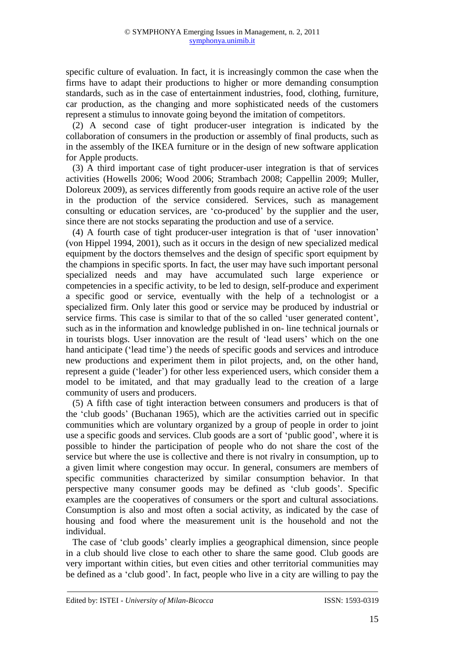specific culture of evaluation. In fact, it is increasingly common the case when the firms have to adapt their productions to higher or more demanding consumption standards, such as in the case of entertainment industries, food, clothing, furniture, car production, as the changing and more sophisticated needs of the customers represent a stimulus to innovate going beyond the imitation of competitors.

(2) A second case of tight producer-user integration is indicated by the collaboration of consumers in the production or assembly of final products, such as in the assembly of the IKEA furniture or in the design of new software application for Apple products.

(3) A third important case of tight producer-user integration is that of services activities (Howells 2006; Wood 2006; Strambach 2008; Cappellin 2009; Muller, Doloreux 2009), as services differently from goods require an active role of the user in the production of the service considered. Services, such as management consulting or education services, are 'co-produced' by the supplier and the user, since there are not stocks separating the production and use of a service.

(4) A fourth case of tight producer-user integration is that of 'user innovation' (von Hippel 1994, 2001), such as it occurs in the design of new specialized medical equipment by the doctors themselves and the design of specific sport equipment by the champions in specific sports. In fact, the user may have such important personal specialized needs and may have accumulated such large experience or competencies in a specific activity, to be led to design, self-produce and experiment a specific good or service, eventually with the help of a technologist or a specialized firm. Only later this good or service may be produced by industrial or service firms. This case is similar to that of the so called 'user generated content', such as in the information and knowledge published in on- line technical journals or in tourists blogs. User innovation are the result of 'lead users' which on the one hand anticipate ('lead time') the needs of specific goods and services and introduce new productions and experiment them in pilot projects, and, on the other hand, represent a guide ('leader') for other less experienced users, which consider them a model to be imitated, and that may gradually lead to the creation of a large community of users and producers.

(5) A fifth case of tight interaction between consumers and producers is that of the 'club goods' (Buchanan 1965), which are the activities carried out in specific communities which are voluntary organized by a group of people in order to joint use a specific goods and services. Club goods are a sort of 'public good', where it is possible to hinder the participation of people who do not share the cost of the service but where the use is collective and there is not rivalry in consumption, up to a given limit where congestion may occur. In general, consumers are members of specific communities characterized by similar consumption behavior. In that perspective many consumer goods may be defined as 'club goods'. Specific examples are the cooperatives of consumers or the sport and cultural associations. Consumption is also and most often a social activity, as indicated by the case of housing and food where the measurement unit is the household and not the individual.

The case of 'club goods' clearly implies a geographical dimension, since people in a club should live close to each other to share the same good. Club goods are very important within cities, but even cities and other territorial communities may be defined as a 'club good'. In fact, people who live in a city are willing to pay the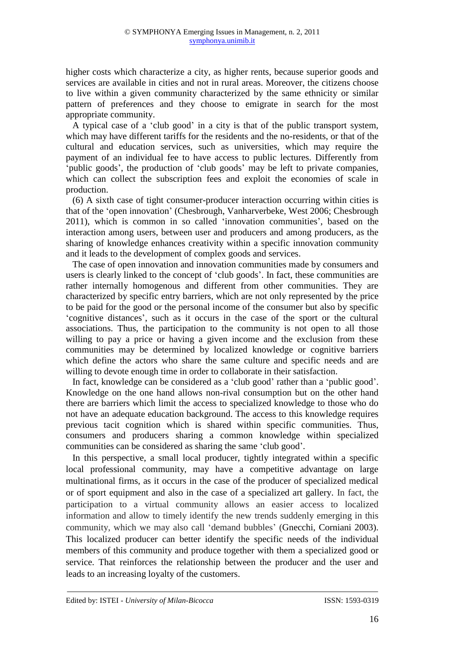higher costs which characterize a city, as higher rents, because superior goods and services are available in cities and not in rural areas. Moreover, the citizens choose to live within a given community characterized by the same ethnicity or similar pattern of preferences and they choose to emigrate in search for the most appropriate community.

A typical case of a 'club good' in a city is that of the public transport system, which may have different tariffs for the residents and the no-residents, or that of the cultural and education services, such as universities, which may require the payment of an individual fee to have access to public lectures. Differently from 'public goods', the production of 'club goods' may be left to private companies, which can collect the subscription fees and exploit the economies of scale in production.

(6) A sixth case of tight consumer-producer interaction occurring within cities is that of the 'open innovation' (Chesbrough, Vanharverbeke, West 2006; Chesbrough 2011), which is common in so called 'innovation communities', based on the interaction among users, between user and producers and among producers, as the sharing of knowledge enhances creativity within a specific innovation community and it leads to the development of complex goods and services.

The case of open innovation and innovation communities made by consumers and users is clearly linked to the concept of 'club goods'. In fact, these communities are rather internally homogenous and different from other communities. They are characterized by specific entry barriers, which are not only represented by the price to be paid for the good or the personal income of the consumer but also by specific 'cognitive distances', such as it occurs in the case of the sport or the cultural associations. Thus, the participation to the community is not open to all those willing to pay a price or having a given income and the exclusion from these communities may be determined by localized knowledge or cognitive barriers which define the actors who share the same culture and specific needs and are willing to devote enough time in order to collaborate in their satisfaction.

In fact, knowledge can be considered as a 'club good' rather than a 'public good'. Knowledge on the one hand allows non-rival consumption but on the other hand there are barriers which limit the access to specialized knowledge to those who do not have an adequate education background. The access to this knowledge requires previous tacit cognition which is shared within specific communities. Thus, consumers and producers sharing a common knowledge within specialized communities can be considered as sharing the same 'club good'.

In this perspective, a small local producer, tightly integrated within a specific local professional community, may have a competitive advantage on large multinational firms, as it occurs in the case of the producer of specialized medical or of sport equipment and also in the case of a specialized art gallery. In fact, the participation to a virtual community allows an easier access to localized information and allow to timely identify the new trends suddenly emerging in this community, which we may also call 'demand bubbles' (Gnecchi, Corniani 2003). This localized producer can better identify the specific needs of the individual members of this community and produce together with them a specialized good or service. That reinforces the relationship between the producer and the user and leads to an increasing loyalty of the customers.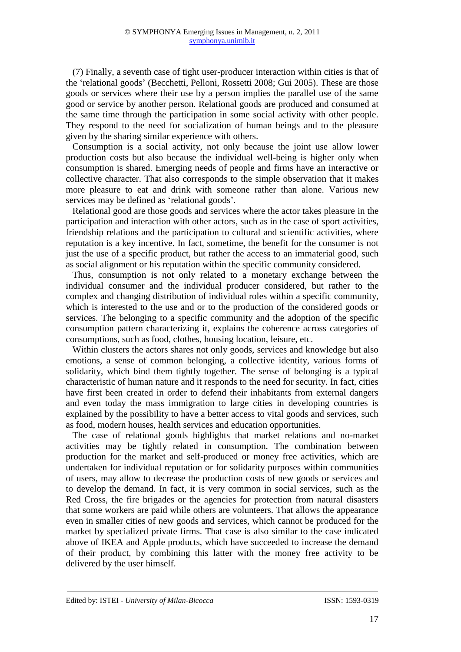(7) Finally, a seventh case of tight user-producer interaction within cities is that of the 'relational goods' (Becchetti, Pelloni, Rossetti 2008; Gui 2005). These are those goods or services where their use by a person implies the parallel use of the same good or service by another person. Relational goods are produced and consumed at the same time through the participation in some social activity with other people. They respond to the need for socialization of human beings and to the pleasure given by the sharing similar experience with others.

Consumption is a social activity, not only because the joint use allow lower production costs but also because the individual well-being is higher only when consumption is shared. Emerging needs of people and firms have an interactive or collective character. That also corresponds to the simple observation that it makes more pleasure to eat and drink with someone rather than alone. Various new services may be defined as 'relational goods'.

Relational good are those goods and services where the actor takes pleasure in the participation and interaction with other actors, such as in the case of sport activities, friendship relations and the participation to cultural and scientific activities, where reputation is a key incentive. In fact, sometime, the benefit for the consumer is not just the use of a specific product, but rather the access to an immaterial good, such as social alignment or his reputation within the specific community considered.

Thus, consumption is not only related to a monetary exchange between the individual consumer and the individual producer considered, but rather to the complex and changing distribution of individual roles within a specific community, which is interested to the use and or to the production of the considered goods or services. The belonging to a specific community and the adoption of the specific consumption pattern characterizing it, explains the coherence across categories of consumptions, such as food, clothes, housing location, leisure, etc.

Within clusters the actors shares not only goods, services and knowledge but also emotions, a sense of common belonging, a collective identity, various forms of solidarity, which bind them tightly together. The sense of belonging is a typical characteristic of human nature and it responds to the need for security. In fact, cities have first been created in order to defend their inhabitants from external dangers and even today the mass immigration to large cities in developing countries is explained by the possibility to have a better access to vital goods and services, such as food, modern houses, health services and education opportunities.

The case of relational goods highlights that market relations and no-market activities may be tightly related in consumption. The combination between production for the market and self-produced or money free activities, which are undertaken for individual reputation or for solidarity purposes within communities of users, may allow to decrease the production costs of new goods or services and to develop the demand. In fact, it is very common in social services, such as the Red Cross, the fire brigades or the agencies for protection from natural disasters that some workers are paid while others are volunteers. That allows the appearance even in smaller cities of new goods and services, which cannot be produced for the market by specialized private firms. That case is also similar to the case indicated above of IKEA and Apple products, which have succeeded to increase the demand of their product, by combining this latter with the money free activity to be delivered by the user himself.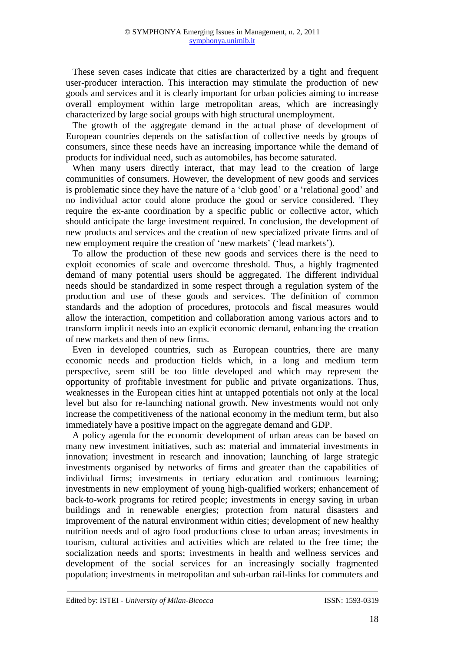These seven cases indicate that cities are characterized by a tight and frequent user-producer interaction. This interaction may stimulate the production of new goods and services and it is clearly important for urban policies aiming to increase overall employment within large metropolitan areas, which are increasingly characterized by large social groups with high structural unemployment.

The growth of the aggregate demand in the actual phase of development of European countries depends on the satisfaction of collective needs by groups of consumers, since these needs have an increasing importance while the demand of products for individual need, such as automobiles, has become saturated.

When many users directly interact, that may lead to the creation of large communities of consumers. However, the development of new goods and services is problematic since they have the nature of a 'club good' or a 'relational good' and no individual actor could alone produce the good or service considered. They require the ex-ante coordination by a specific public or collective actor, which should anticipate the large investment required. In conclusion, the development of new products and services and the creation of new specialized private firms and of new employment require the creation of 'new markets' ('lead markets').

To allow the production of these new goods and services there is the need to exploit economies of scale and overcome threshold. Thus*,* a highly fragmented demand of many potential users should be aggregated. The different individual needs should be standardized in some respect through a regulation system of the production and use of these goods and services. The definition of common standards and the adoption of procedures, protocols and fiscal measures would allow the interaction, competition and collaboration among various actors and to transform implicit needs into an explicit economic demand, enhancing the creation of new markets and then of new firms.

Even in developed countries, such as European countries, there are many economic needs and production fields which, in a long and medium term perspective, seem still be too little developed and which may represent the opportunity of profitable investment for public and private organizations. Thus, weaknesses in the European cities hint at untapped potentials not only at the local level but also for re-launching national growth. New investments would not only increase the competitiveness of the national economy in the medium term, but also immediately have a positive impact on the aggregate demand and GDP.

A policy agenda for the economic development of urban areas can be based on many new investment initiatives, such as: material and immaterial investments in innovation; investment in research and innovation; launching of large strategic investments organised by networks of firms and greater than the capabilities of individual firms; investments in tertiary education and continuous learning; investments in new employment of young high-qualified workers; enhancement of back-to-work programs for retired people; investments in energy saving in urban buildings and in renewable energies; protection from natural disasters and improvement of the natural environment within cities; development of new healthy nutrition needs and of agro food productions close to urban areas; investments in tourism, cultural activities and activities which are related to the free time; the socialization needs and sports; investments in health and wellness services and development of the social services for an increasingly socially fragmented population; investments in metropolitan and sub-urban rail-links for commuters and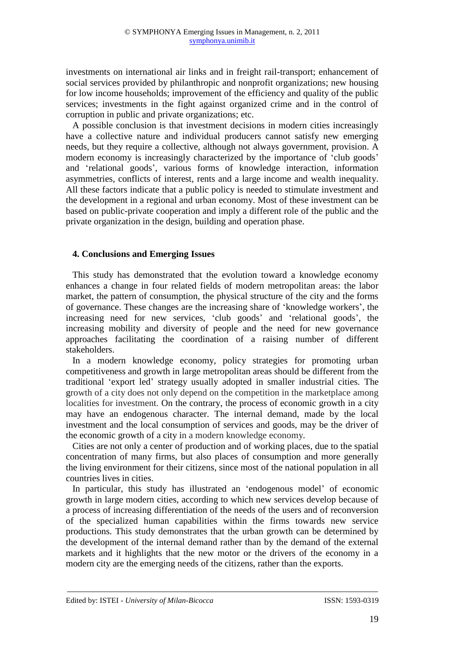investments on international air links and in freight rail-transport; enhancement of social services provided by philanthropic and nonprofit organizations; new housing for low income households; improvement of the efficiency and quality of the public services; investments in the fight against organized crime and in the control of corruption in public and private organizations; etc.

A possible conclusion is that investment decisions in modern cities increasingly have a collective nature and individual producers cannot satisfy new emerging needs, but they require a collective, although not always government, provision. A modern economy is increasingly characterized by the importance of 'club goods' and 'relational goods', various forms of knowledge interaction, information asymmetries, conflicts of interest, rents and a large income and wealth inequality. All these factors indicate that a public policy is needed to stimulate investment and the development in a regional and urban economy. Most of these investment can be based on public-private cooperation and imply a different role of the public and the private organization in the design, building and operation phase.

## **4. Conclusions and Emerging Issues**

This study has demonstrated that the evolution toward a knowledge economy enhances a change in four related fields of modern metropolitan areas: the labor market, the pattern of consumption, the physical structure of the city and the forms of governance. These changes are the increasing share of 'knowledge workers', the increasing need for new services, 'club goods' and 'relational goods', the increasing mobility and diversity of people and the need for new governance approaches facilitating the coordination of a raising number of different stakeholders.

In a modern knowledge economy, policy strategies for promoting urban competitiveness and growth in large metropolitan areas should be different from the traditional 'export led' strategy usually adopted in smaller industrial cities. The growth of a city does not only depend on the competition in the marketplace among localities for investment. On the contrary, the process of economic growth in a city may have an endogenous character. The internal demand, made by the local investment and the local consumption of services and goods, may be the driver of the economic growth of a city in a modern knowledge economy*.*

Cities are not only a center of production and of working places*,* due to the spatial concentration of many firms, but also places of consumption and more generally the living environment for their citizens, since most of the national population in all countries lives in cities.

In particular, this study has illustrated an 'endogenous model' of economic growth in large modern cities, according to which new services develop because of a process of increasing differentiation of the needs of the users and of reconversion of the specialized human capabilities within the firms towards new service productions. This study demonstrates that the urban growth can be determined by the development of the internal demand rather than by the demand of the external markets and it highlights that the new motor or the drivers of the economy in a modern city are the emerging needs of the citizens, rather than the exports.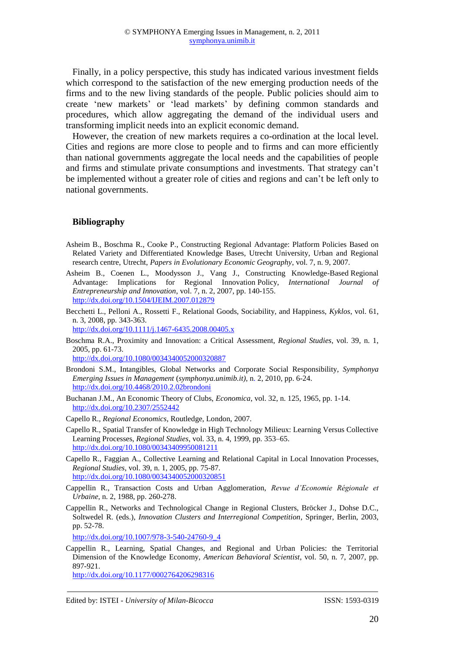Finally, in a policy perspective, this study has indicated various investment fields which correspond to the satisfaction of the new emerging production needs of the firms and to the new living standards of the people. Public policies should aim to create 'new markets' or 'lead markets' by defining common standards and procedures, which allow aggregating the demand of the individual users and transforming implicit needs into an explicit economic demand.

However, the creation of new markets requires a co-ordination at the local level. Cities and regions are more close to people and to firms and can more efficiently than national governments aggregate the local needs and the capabilities of people and firms and stimulate private consumptions and investments. That strategy can't be implemented without a greater role of cities and regions and can't be left only to national governments.

## **Bibliography**

- Asheim B., Boschma R., Cooke P., Constructing Regional Advantage: Platform Policies Based on Related Variety and Differentiated Knowledge Bases, Utrecht University, Urban and Regional research centre, Utrecht, *Papers in Evolutionary Economic Geography*, vol. 7, n. 9, 2007.
- Asheim B., Coenen L., Moodysson J., Vang J., Constructing Knowledge-Based Regional Advantage: Implications for Regional Innovation Policy, *International Journal of Entrepreneurship and Innovation*, vol. 7, n. 2, 2007, pp. 140-155. <http://dx.doi.org/10.1504/IJEIM.2007.012879>
- Becchetti L., Pelloni A., Rossetti F., Relational Goods, Sociability, and Happiness, *Kyklos*, vol. 61, n. 3, 2008, pp. 343-363.

<http://dx.doi.org/10.1111/j.1467-6435.2008.00405.x>

Boschma R.A., Proximity and Innovation: a Critical Assessment, *Regional Studies*, vol. 39, n. 1, 2005, pp. 61-73.

<http://dx.doi.org/10.1080/0034340052000320887>

- Brondoni S.M., Intangibles, Global Networks and Corporate Social Responsibility, *Symphonya Emerging Issues in Management* (*[symphonya.unimib.it\)](http://www.unimib.it/symphonya),* n. 2, 2010, pp. 6-24. <http://dx.doi.org/10.4468/2010.2.02brondoni>
- Buchanan J.M., An Economic Theory of Clubs, *Economica*, vol. 32, n. 125, 1965, pp. 1-14. <http://dx.doi.org/10.2307/2552442>
- Capello R., *Regional Economics*, Routledge, London, 2007.
- Capello R., Spatial Transfer of Knowledge in High Technology Milieux: Learning Versus Collective Learning Processes, *Regional Studies*, vol. 33, n. 4, 1999, pp. 353–65. <http://dx.doi.org/10.1080/00343409950081211>
- Capello R., Faggian A., Collective Learning and Relational Capital in Local Innovation Processes, *Regional Studies*, vol. 39, n. 1, 2005, pp. 75-87. <http://dx.doi.org/10.1080/0034340052000320851>
- Cappellin R., Transaction Costs and Urban Agglomeration, *Revue d'Economie Régionale et Urbaine*, n. 2, 1988, pp. 260-278.
- Cappellin R., Networks and Technological Change in Regional Clusters, Bröcker J., Dohse D.C., Soltwedel R. (eds.), *Innovation Clusters and Interregional Competition*, Springer, Berlin, 2003, pp. 52-78.

[http://dx.doi.org/10.1007/978-3-540-24760-9\\_4](http://dx.doi.org/10.1007/978-3-540-24760-9_4)

Cappellin R., Learning, Spatial Changes, and Regional and Urban Policies: the Territorial Dimension of the Knowledge Economy, *American Behavioral Scientist*, vol. 50, n. 7, 2007, pp. 897-921.

<http://dx.doi.org/10.1177/0002764206298316>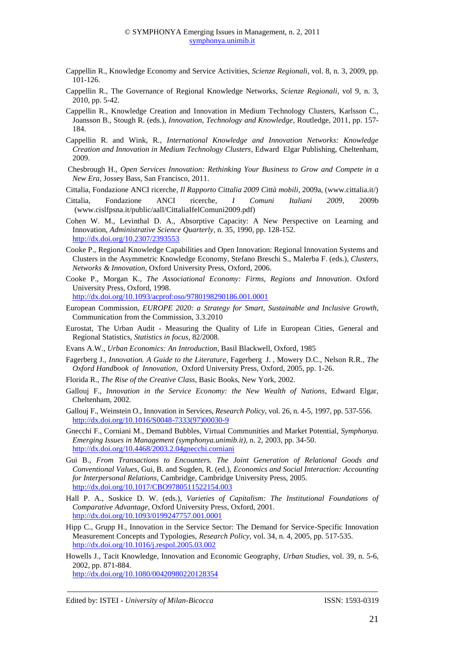- Cappellin R., Knowledge Economy and Service Activities, *Scienze Regionali*, vol. 8, n. 3, 2009, pp. 101-126.
- Cappellin R., The Governance of Regional Knowledge Networks, *Scienze Regionali*, vol 9, n. 3, 2010, pp. 5-42.
- Cappellin R., Knowledge Creation and Innovation in Medium Technology Clusters, Karlsson C., Joansson B., Stough R. (eds.), *Innovation, Technology and Knowledge*, Routledge, 2011, pp. 157- 184.
- Cappellin R. and Wink, R., *International Knowledge and Innovation Networks: Knowledge Creation and Innovation in Medium Technology Clusters*, Edward Elgar Publishing, Cheltenham, 2009.
- Chesbrough H., *Open Services Innovation: Rethinking Your Business to Grow and Compete in a New Era,* Jossey Bass, San Francisco, 2011.
- Cittalia, Fondazione ANCI ricerche, *Il Rapporto Cittalia 2009 Città mobili*, 2009a, (www.cittalia.it/)
- Cittalia, Fondazione ANCI ricerche, *I Comuni Italiani 2009*, 2009b [\(www.cislfpsna.it/public/aall/CittaliaIfelComuni2009.pdf\)](http://www.cislfpsna.it/public/aall/CittaliaIfelComuni2009.pdf)
- Cohen W. M., Levinthal D. A., Absorptive Capacity: A New Perspective on Learning and Innovation, *Administrative Science Quarterly*, n. 35, 1990, pp. 128-152. <http://dx.doi.org/10.2307/2393553>
- Cooke P., Regional Knowledge Capabilities and Open Innovation: Regional Innovation Systems and Clusters in the Asymmetric Knowledge Economy, Stefano Breschi S., Malerba F. (eds.), *[Clusters,](http://www.amazon.com/exec/obidos/redirect?link_code=ur2&tag=openinnovatio-20&camp=1789&creative=9325&path=http%3A%2F%2Fwww.amazon.com%2Fgp%2Fproduct%2F0199275556)  [Networks & Innovation](http://www.amazon.com/exec/obidos/redirect?link_code=ur2&tag=openinnovatio-20&camp=1789&creative=9325&path=http%3A%2F%2Fwww.amazon.com%2Fgp%2Fproduct%2F0199275556)*, Oxford University Press, Oxford, 2006.
- Cooke P., Morgan K., *The Associational Economy: Firms, Regions and Innovation*. Oxford University Press, Oxford, 1998.

<http://dx.doi.org/10.1093/acprof:oso/9780198290186.001.0001>

- European Commission, *EUROPE 2020: a Strategy for Smart, Sustainable and Inclusive Growth*, Communication from the Commission, 3.3.2010
- Eurostat, The Urban Audit Measuring the Quality of Life in European Cities, General and Regional Statistics, *Statistics in focus*, 82/2008.
- Evans A.W., *Urban Economics: An Introduction*, Basil Blackwell, Oxford, 1985
- Fagerberg J., *Innovation. A Guide to the Literature*, Fagerberg J. , Mowery D.C., Nelson R.R., *The Oxford Handbook of Innovation*, Oxford University Press, Oxford, 2005, pp. 1-26.
- Florida R., *The Rise of the Creative Class*, Basic Books, New York, 2002.
- Gallouj F., *Innovation in the Service Economy: the New Wealth of Nations*, Edward Elgar, Cheltenham, 2002.
- Gallouj F., Weinstein O., Innovation in Services, *Research Policy*, vol. 26, n. 4-5, 1997, pp. 537-556. [http://dx.doi.org/10.1016/S0048-7333\(97\)00030-9](http://dx.doi.org/10.1016/S0048-7333(97)00030-9)
- Gnecchi F., Corniani M., Demand Bubbles, Virtual Communities and Market Potential, *Symphonya. Emerging Issues in Management (symphonya.unimib.it)*, n. 2, 2003, pp. 34-50. <http://dx.doi.org/10.4468/2003.2.04gnecchi.corniani>
- Gui B., *From Transactions to Encounters. The Joint Generation of Relational Goods and Conventional Values*, Gui, B. and Sugden, R. (ed.), *Economics and Social Interaction: Accounting for Interpersonal Relations*, Cambridge, Cambridge University Press, 2005. <http://dx.doi.org/10.1017/CBO9780511522154.003>
- Hall P. A., Soskice D. W. (eds.), *Varieties of Capitalism: The Institutional Foundations of Comparative Advantage*, Oxford University Press, Oxford, 2001. <http://dx.doi.org/10.1093/0199247757.001.0001>
- Hipp C., Grupp H., Innovation in the Service Sector: The Demand for Service-Specific Innovation Measurement Concepts and Typologies, *Research Policy*, vol. 34, n. 4, 2005, pp. 517-535. <http://dx.doi.org/10.1016/j.respol.2005.03.002>
- Howells J., Tacit Knowledge, Innovation and Economic Geography, *Urban Studies*, vol. 39, n. 5-6, 2002, pp. 871-884. <http://dx.doi.org/10.1080/00420980220128354>